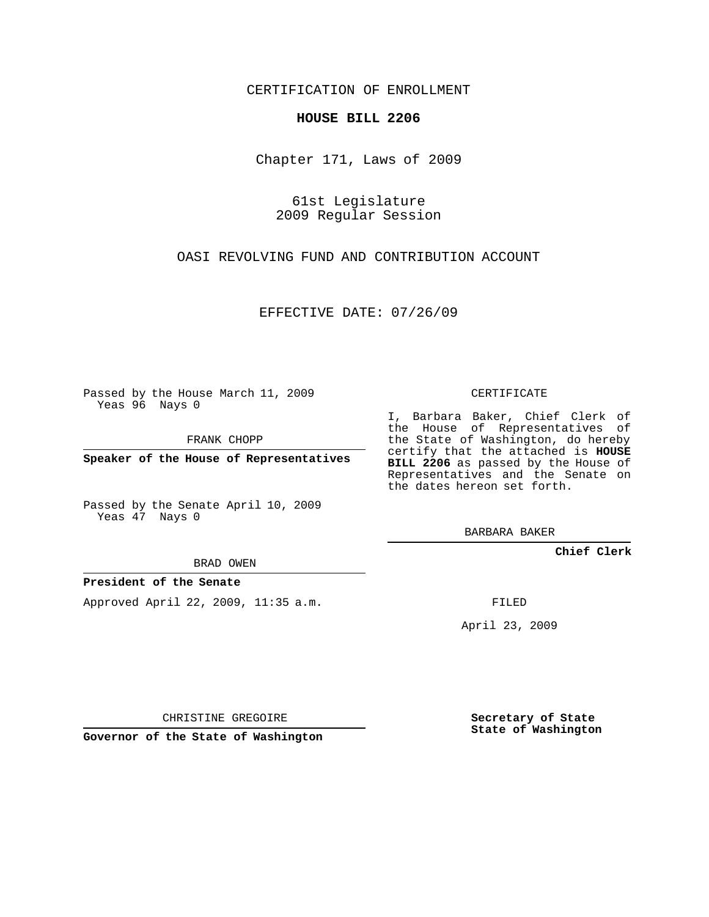CERTIFICATION OF ENROLLMENT

## **HOUSE BILL 2206**

Chapter 171, Laws of 2009

61st Legislature 2009 Regular Session

OASI REVOLVING FUND AND CONTRIBUTION ACCOUNT

EFFECTIVE DATE: 07/26/09

Passed by the House March 11, 2009 Yeas 96 Nays 0

FRANK CHOPP

**Speaker of the House of Representatives**

Passed by the Senate April 10, 2009 Yeas 47 Nays 0

BRAD OWEN

## **President of the Senate**

Approved April 22, 2009, 11:35 a.m.

CERTIFICATE

I, Barbara Baker, Chief Clerk of the House of Representatives of the State of Washington, do hereby certify that the attached is **HOUSE BILL 2206** as passed by the House of Representatives and the Senate on the dates hereon set forth.

BARBARA BAKER

**Chief Clerk**

FILED

April 23, 2009

CHRISTINE GREGOIRE

**Governor of the State of Washington**

**Secretary of State State of Washington**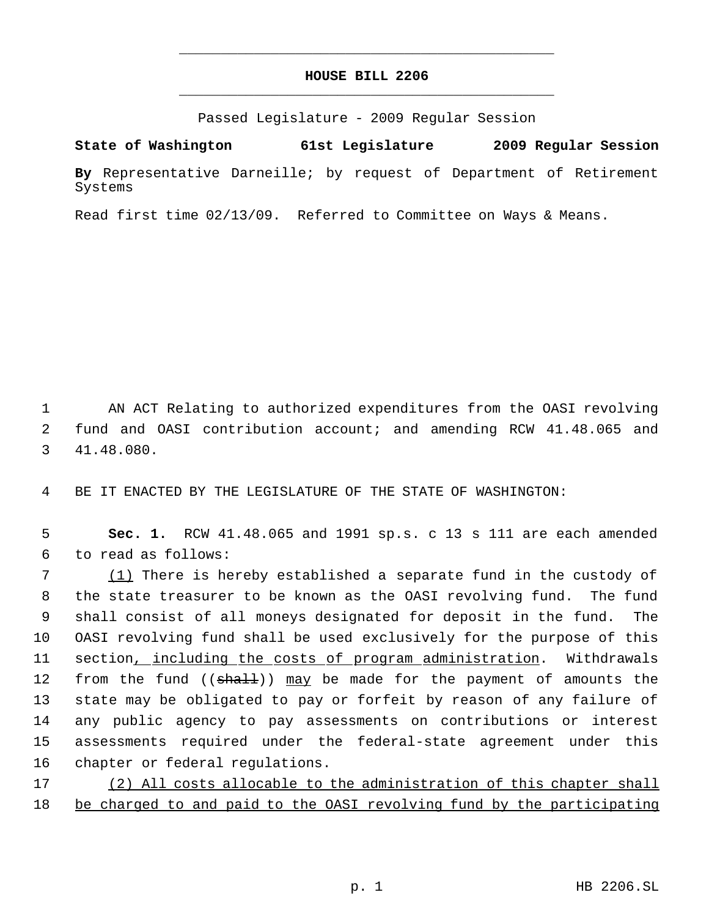## **HOUSE BILL 2206** \_\_\_\_\_\_\_\_\_\_\_\_\_\_\_\_\_\_\_\_\_\_\_\_\_\_\_\_\_\_\_\_\_\_\_\_\_\_\_\_\_\_\_\_\_

\_\_\_\_\_\_\_\_\_\_\_\_\_\_\_\_\_\_\_\_\_\_\_\_\_\_\_\_\_\_\_\_\_\_\_\_\_\_\_\_\_\_\_\_\_

Passed Legislature - 2009 Regular Session

**State of Washington 61st Legislature 2009 Regular Session**

**By** Representative Darneille; by request of Department of Retirement Systems

Read first time 02/13/09. Referred to Committee on Ways & Means.

 1 AN ACT Relating to authorized expenditures from the OASI revolving 2 fund and OASI contribution account; and amending RCW 41.48.065 and 3 41.48.080.

4 BE IT ENACTED BY THE LEGISLATURE OF THE STATE OF WASHINGTON:

 5 **Sec. 1.** RCW 41.48.065 and 1991 sp.s. c 13 s 111 are each amended 6 to read as follows:

7 (1) There is hereby established a separate fund in the custody of the state treasurer to be known as the OASI revolving fund. The fund shall consist of all moneys designated for deposit in the fund. The OASI revolving fund shall be used exclusively for the purpose of this section, including the costs of program administration. Withdrawals 12 from the fund (( $\frac{1}{3}$ ) may be made for the payment of amounts the state may be obligated to pay or forfeit by reason of any failure of any public agency to pay assessments on contributions or interest assessments required under the federal-state agreement under this chapter or federal regulations.

17 (2) All costs allocable to the administration of this chapter shall 18 be charged to and paid to the OASI revolving fund by the participating